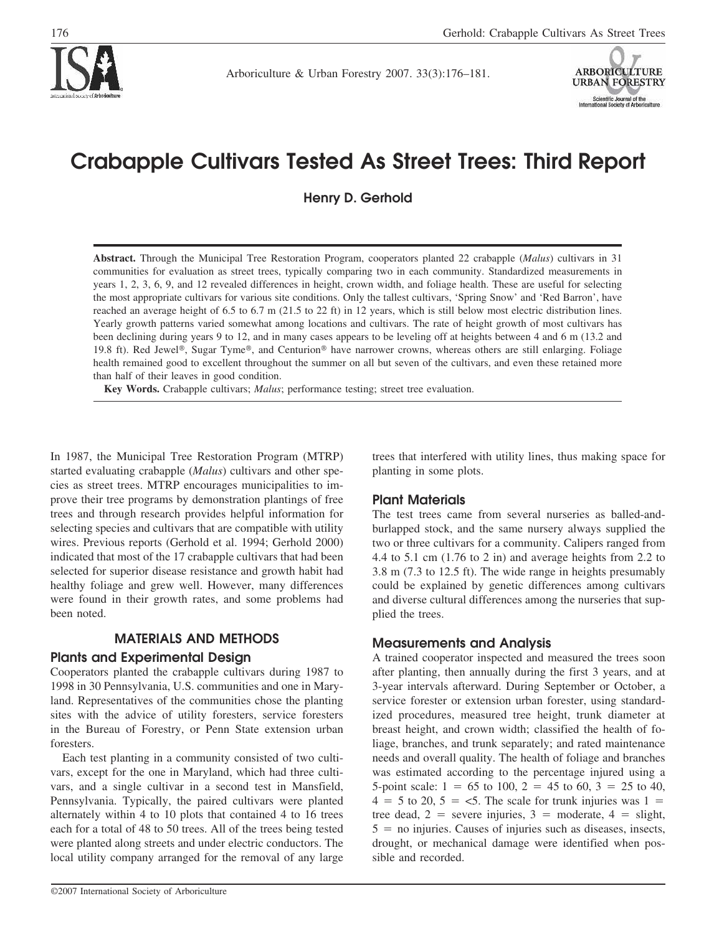

Arboriculture & Urban Forestry 2007. 33(3):176–181.



# **Crabapple Cultivars Tested As Street Trees: Third Report**

**Henry D. Gerhold**

**Abstract.** Through the Municipal Tree Restoration Program, cooperators planted 22 crabapple (*Malus*) cultivars in 31 communities for evaluation as street trees, typically comparing two in each community. Standardized measurements in years 1, 2, 3, 6, 9, and 12 revealed differences in height, crown width, and foliage health. These are useful for selecting the most appropriate cultivars for various site conditions. Only the tallest cultivars, 'Spring Snow' and 'Red Barron', have reached an average height of 6.5 to 6.7 m (21.5 to 22 ft) in 12 years, which is still below most electric distribution lines. Yearly growth patterns varied somewhat among locations and cultivars. The rate of height growth of most cultivars has been declining during years 9 to 12, and in many cases appears to be leveling off at heights between 4 and 6 m (13.2 and 19.8 ft). Red Jewel®, Sugar Tyme®, and Centurion® have narrower crowns, whereas others are still enlarging. Foliage health remained good to excellent throughout the summer on all but seven of the cultivars, and even these retained more than half of their leaves in good condition.

**Key Words.** Crabapple cultivars; *Malus*; performance testing; street tree evaluation.

In 1987, the Municipal Tree Restoration Program (MTRP) started evaluating crabapple (*Malus*) cultivars and other species as street trees. MTRP encourages municipalities to improve their tree programs by demonstration plantings of free trees and through research provides helpful information for selecting species and cultivars that are compatible with utility wires. Previous reports (Gerhold et al. 1994; Gerhold 2000) indicated that most of the 17 crabapple cultivars that had been selected for superior disease resistance and growth habit had healthy foliage and grew well. However, many differences were found in their growth rates, and some problems had been noted.

# **MATERIALS AND METHODS**

### **Plants and Experimental Design**

Cooperators planted the crabapple cultivars during 1987 to 1998 in 30 Pennsylvania, U.S. communities and one in Maryland. Representatives of the communities chose the planting sites with the advice of utility foresters, service foresters in the Bureau of Forestry, or Penn State extension urban foresters.

Each test planting in a community consisted of two cultivars, except for the one in Maryland, which had three cultivars, and a single cultivar in a second test in Mansfield, Pennsylvania. Typically, the paired cultivars were planted alternately within 4 to 10 plots that contained 4 to 16 trees each for a total of 48 to 50 trees. All of the trees being tested were planted along streets and under electric conductors. The local utility company arranged for the removal of any large

trees that interfered with utility lines, thus making space for planting in some plots.

# **Plant Materials**

The test trees came from several nurseries as balled-andburlapped stock, and the same nursery always supplied the two or three cultivars for a community. Calipers ranged from 4.4 to 5.1 cm (1.76 to 2 in) and average heights from 2.2 to 3.8 m (7.3 to 12.5 ft). The wide range in heights presumably could be explained by genetic differences among cultivars and diverse cultural differences among the nurseries that supplied the trees.

# **Measurements and Analysis**

A trained cooperator inspected and measured the trees soon after planting, then annually during the first 3 years, and at 3-year intervals afterward. During September or October, a service forester or extension urban forester, using standardized procedures, measured tree height, trunk diameter at breast height, and crown width; classified the health of foliage, branches, and trunk separately; and rated maintenance needs and overall quality. The health of foliage and branches was estimated according to the percentage injured using a 5-point scale:  $1 = 65$  to  $100$ ,  $2 = 45$  to  $60$ ,  $3 = 25$  to  $40$ ,  $4 = 5$  to 20,  $5 = 5$ . The scale for trunk injuries was  $1 =$ tree dead,  $2 =$  severe injuries,  $3 =$  moderate,  $4 =$  slight,  $5 =$  no injuries. Causes of injuries such as diseases, insects, drought, or mechanical damage were identified when possible and recorded.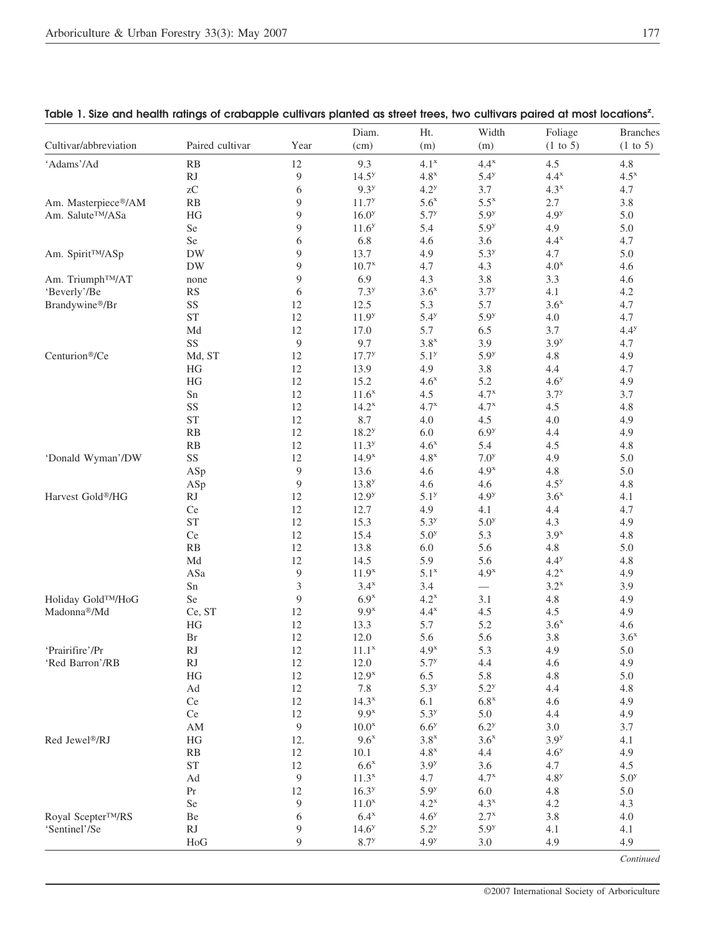| Cultivar/abbreviation         | Paired cultivar        | Year         | Diam.<br>(cm)     | Ht.<br>(m)       | Width<br>(m)     | Foliage<br>$(1 \text{ to } 5)$ | <b>Branches</b><br>$(1 \text{ to } 5)$ |
|-------------------------------|------------------------|--------------|-------------------|------------------|------------------|--------------------------------|----------------------------------------|
| 'Adams'/Ad                    | RB                     | 12           | 9.3               | $4.1^x$          | $4.4^x$          | 4.5                            | 4.8                                    |
|                               | <b>RJ</b>              | 9            | $14.5^{y}$        | $4.8^x$          | 5.4 <sup>y</sup> | $4.4^x$                        | $4.5^x$                                |
|                               | ${\rm zC}$             | 6            | 9.3 <sup>y</sup>  | 4.2 <sup>y</sup> | 3.7              | $4.3^x$                        | 4.7                                    |
| Am. Masterpiece®/AM           | RB                     | 9            | $11.7^{y}$        | 5.6 <sup>x</sup> | $5.5^x$          | 2.7                            | 3.8                                    |
| Am. Salute™/ASa               | HG                     | 9            | $16.0^{y}$        | $5.7^{y}$        | 5.9 <sup>y</sup> | 4.9 <sup>y</sup>               | 5.0                                    |
|                               | Se                     | 9            | 11.6 <sup>y</sup> | 5.4              | 5.9 <sup>y</sup> | 4.9                            | 5.0                                    |
|                               | Se                     | 6            | 6.8               | 4.6              | 3.6              | $4.4^x$                        | 4.7                                    |
| Am. Spirit <sup>TM</sup> /ASp | ${\rm DW}$             | 9            | 13.7              | 4.9              | 5.3 <sup>y</sup> | 4.7                            | 5.0                                    |
|                               | <b>DW</b>              | 9            | 10.7 <sup>x</sup> | 4.7              | 4.3              | 4.0 <sup>x</sup>               | 4.6                                    |
| Am. Triumph™/AT               | none                   | 9            | 6.9               | 4.3              | 3.8              | 3.3                            | 4.6                                    |
| 'Beverly'/Be                  | <b>RS</b>              | 6            | 7.3 <sup>y</sup>  | 3.6 <sup>x</sup> | $3.7^{y}$        | 4.1                            | 4.2                                    |
| Brandywine®/Br                | SS                     | 12           | 12.5              | 5.3              | 5.7              | 3.6 <sup>x</sup>               | 4.7                                    |
|                               | <b>ST</b>              | 12           | 11.9 <sup>y</sup> | 5.4 <sup>y</sup> | 5.9 <sup>y</sup> | $4.0\,$                        | 4.7                                    |
|                               | Md                     | 12           | 17.0              | 5.7              | 6.5              | 3.7                            | $4.4^y$                                |
|                               | SS                     | $\mathbf{9}$ | 9.7               | $3.8^x$          | 3.9              | 3.9 <sup>y</sup>               | 4.7                                    |
| Centurion®/Ce                 | Md, ST                 | 12           | $17.7^{y}$        | $5.1^{y}$        | 5.9 <sup>y</sup> | 4.8                            | 4.9                                    |
|                               | $\rm{HG}$              | 12           | 13.9              | 4.9              | 3.8              | 4.4                            | 4.7                                    |
|                               | $\rm{HG}$              | 12           | 15.2              | $4.6^x$          | 5.2              | 4.6 <sup>y</sup>               | 4.9                                    |
|                               |                        | 12           |                   |                  | 4.7 <sup>x</sup> | $3.7^{y}$                      |                                        |
|                               | Sn                     |              | $11.6^x$          | 4.5              |                  |                                | 3.7                                    |
|                               | SS                     | 12           | $14.2^x$          | $4.7^x$          | $4.7^x$          | 4.5                            | 4.8                                    |
|                               | <b>ST</b>              | 12           | 8.7               | 4.0              | 4.5              | 4.0                            | 4.9                                    |
|                               | RB                     | 12           | $18.2^{y}$        | $6.0\,$          | 6.9 <sup>y</sup> | 4.4                            | 4.9                                    |
|                               | RB                     | 12           | $11.3^{y}$        | $4.6^x$          | 5.4              | 4.5                            | 4.8                                    |
| 'Donald Wyman'/DW             | SS                     | 12           | $14.9^{x}$        | $4.8^x$          | 7.0 <sup>y</sup> | 4.9                            | 5.0                                    |
|                               | ASp                    | 9            | 13.6              | 4.6              | 4.9 <sup>x</sup> | 4.8                            | 5.0                                    |
|                               | ASp                    | 9            | $13.8^{y}$        | 4.6              | 4.6              | 4.5 <sup>y</sup>               | 4.8                                    |
| Harvest Gold®/HG              | $\mathbf{R}\mathbf{J}$ | 12           | $12.9^{y}$        | 5.1 <sup>y</sup> | 4.9 <sup>y</sup> | 3.6 <sup>x</sup>               | 4.1                                    |
|                               | Ce                     | 12           | 12.7              | 4.9              | 4.1              | 4.4                            | 4.7                                    |
|                               | <b>ST</b>              | 12           | 15.3              | 5.3 <sup>y</sup> | 5.0 <sup>y</sup> | 4.3                            | 4.9                                    |
|                               | Ce                     | 12           | 15.4              | 5.0 <sup>y</sup> | 5.3              | 3.9 <sup>x</sup>               | 4.8                                    |
|                               | RB                     | 12           | 13.8              | 6.0              | 5.6              | 4.8                            | 5.0                                    |
|                               | $\operatorname{Md}$    | 12           | 14.5              | 5.9              | 5.6              | 4.4 <sup>y</sup>               | 4.8                                    |
|                               | ASa                    | $\mathbf{9}$ | 11.9 <sup>x</sup> | 5.1 <sup>x</sup> | 4.9 <sup>x</sup> | $4.2^x$                        | 4.9                                    |
|                               | Sn                     | 3            | $3.4^x$           | 3.4              |                  | $3.2^x$                        | 3.9                                    |
| Holiday Gold™/HoG             | Se                     | 9            | 6.9 <sup>x</sup>  | $4.2^x$          | 3.1              | $4.8\,$                        | 4.9                                    |
| Madonna®/Md                   | Ce, ST                 | 12           | $9.9^x$           | $4.4^x$          | 4.5              | 4.5                            | 4.9                                    |
|                               | $\rm{HG}$              | 12           | 13.3              | 5.7              | 5.2              | 3.6 <sup>x</sup>               | 4.6                                    |
|                               | Br                     | 12           | 12.0              | 5.6              | 5.6              | 3.8                            | 3.6 <sup>x</sup>                       |
| 'Prairifire'/Pr               | RJ                     | 12           | $11.1^x$          | 4.9 <sup>x</sup> | 5.3              | 4.9                            | 5.0                                    |
| 'Red Barron'/RB               | RJ                     | 12           | 12.0              | $5.7^{y}$        | 4.4              | 4.6                            | 4.9                                    |
|                               | HG                     | 12           | $12.9^x$          | 6.5              | 5.8              | 4.8                            | 5.0                                    |
|                               | $\operatorname{Ad}$    | 12           | 7.8               | 5.3 <sup>y</sup> | 5.2 <sup>y</sup> | 4.4                            | 4.8                                    |
|                               | Ce                     | 12           | 14.3 <sup>x</sup> | 6.1              | $6.8^{\rm x}$    | 4.6                            | 4.9                                    |
|                               | Ce                     | 12           | $9.9^x$           | 5.3 <sup>y</sup> | 5.0              | 4.4                            | 4.9                                    |
|                               | $\mathbf{A}\mathbf{M}$ | $\mathbf{9}$ | $10.0^x$          | 6.6 <sup>y</sup> | 6.2 <sup>y</sup> | 3.0                            | 3.7                                    |
| Red Jewel <sup>®</sup> /RJ    | $\rm{HG}$              | 12.          | $9.6^x$           | $3.8^x$          | 3.6 <sup>x</sup> | 3.9 <sup>y</sup>               | 4.1                                    |
|                               | RB                     | 12           | 10.1              | $4.8^{\rm x}$    | 4.4              | 4.6 <sup>y</sup>               | 4.9                                    |
|                               | <b>ST</b>              | 12           | $6.6^x$           | 3.9 <sup>y</sup> | 3.6              | 4.7                            | 4.5                                    |
|                               |                        |              |                   |                  |                  |                                |                                        |
|                               | $\operatorname{Ad}$    | 9            | $11.3^x$          | 4.7              | $4.7^x$          | 4.8 <sup>y</sup>               | 5.0 <sup>y</sup>                       |
|                               | Pr                     | 12           | $16.3^{y}$        | 5.9 <sup>y</sup> | 6.0              | $4.8\,$                        | 5.0                                    |
|                               | Se                     | 9            | 11.0 <sup>x</sup> | $4.2^x$          | $4.3^x$          | 4.2                            | 4.3                                    |
| Royal Scepter™/RS             | Be                     | 6            | $6.4^x$           | 4.6 <sup>y</sup> | $2.7^x$          | 3.8                            | 4.0                                    |
| 'Sentinel'/Se                 | RJ                     | 9            | $14.6^{y}$        | 5.2 <sup>y</sup> | 5.9 <sup>y</sup> | 4.1                            | 4.1                                    |
|                               | HoG                    | 9            | 8.7 <sup>y</sup>  | 4.9 <sup>y</sup> | 3.0              | 4.9                            | 4.9                                    |

|  | Table 1. Size and health ratings of crabapple cultivars planted as street trees, two cultivars paired at most locations <sup>2</sup> . |  |  |  |  |  |  |  |  |
|--|----------------------------------------------------------------------------------------------------------------------------------------|--|--|--|--|--|--|--|--|
|--|----------------------------------------------------------------------------------------------------------------------------------------|--|--|--|--|--|--|--|--|

Continued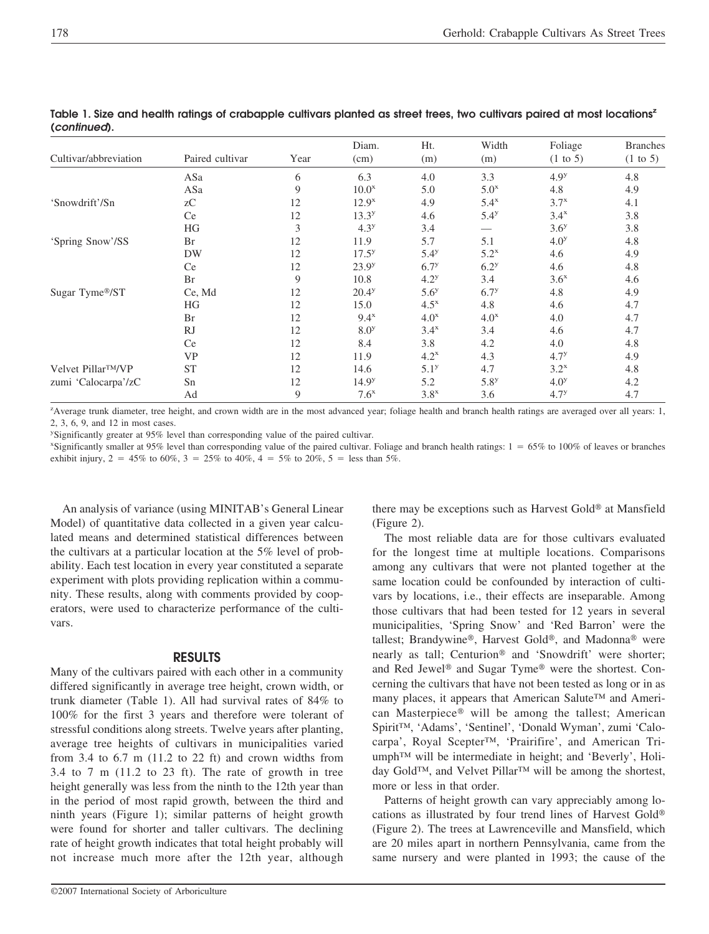| Cultivar/abbreviation           | Paired cultivar | Year | Diam.<br>(cm)     | Ht.<br>(m)         | Width<br>(m)     | Foliage<br>$(1 \text{ to } 5)$ | <b>Branches</b><br>$(1 \text{ to } 5)$ |
|---------------------------------|-----------------|------|-------------------|--------------------|------------------|--------------------------------|----------------------------------------|
|                                 | ASa             | 6    | 6.3               | 4.0                | 3.3              | 4.9 <sup>y</sup>               | 4.8                                    |
|                                 | ASa             | 9    | 10.0 <sup>x</sup> | 5.0                | 5.0 <sup>x</sup> | 4.8                            | 4.9                                    |
| 'Snowdrift'/Sn                  | zC              | 12   | $12.9^{x}$        | 4.9                | $5.4^x$          | $3.7^{x}$                      | 4.1                                    |
|                                 | <b>Ce</b>       | 12   | 13.3 <sup>y</sup> | 4.6                | 5.4 <sup>y</sup> | 3.4 <sup>x</sup>               | 3.8                                    |
|                                 | HG              | 3    | 4.3 <sup>y</sup>  | 3.4                |                  | 3.6 <sup>y</sup>               | 3.8                                    |
| 'Spring Snow'/SS                | Br              | 12   | 11.9              | 5.7                | 5.1              | 4.0 <sup>y</sup>               | 4.8                                    |
|                                 | DW              | 12   | $17.5^y$          | 5.4 <sup>y</sup>   | $5.2^x$          | 4.6                            | 4.9                                    |
|                                 | Ce              | 12   | $23.9^{y}$        | 6.7 <sup>y</sup>   | 6.2 <sup>y</sup> | 4.6                            | 4.8                                    |
|                                 | Br              | 9    | 10.8              | 4.2 <sup>y</sup>   | 3.4              | 3.6 <sup>x</sup>               | 4.6                                    |
| Sugar Tyme®/ST                  | Ce, Md          | 12   | $20.4^y$          | 5.6 <sup>y</sup>   | 6.7 <sup>y</sup> | 4.8                            | 4.9                                    |
|                                 | HG              | 12   | 15.0              | $4.5^{\mathrm{x}}$ | 4.8              | 4.6                            | 4.7                                    |
|                                 | Br              | 12   | $9.4^x$           | 4.0 <sup>x</sup>   | 4.0 <sup>x</sup> | 4.0                            | 4.7                                    |
|                                 | <sub>R</sub>    | 12   | 8.0 <sup>y</sup>  | $3.4^x$            | 3.4              | 4.6                            | 4.7                                    |
|                                 | Ce              | 12   | 8.4               | 3.8                | 4.2              | 4.0                            | 4.8                                    |
|                                 | <b>VP</b>       | 12   | 11.9              | $4.2^x$            | 4.3              | 4.7 <sup>y</sup>               | 4.9                                    |
| Velvet Pillar <sup>TM</sup> /VP | <b>ST</b>       | 12   | 14.6              | 5.1 <sup>y</sup>   | 4.7              | $3.2^x$                        | 4.8                                    |
| zumi 'Calocarpa'/zC             | Sn              | 12   | 14.9 <sup>y</sup> | 5.2                | 5.8 <sup>y</sup> | 4.0 <sup>y</sup>               | 4.2                                    |
|                                 | Ad              | 9    | 7.6 <sup>x</sup>  | 3.8 <sup>x</sup>   | 3.6              | 4.7 <sup>y</sup>               | 4.7                                    |

Table 1. Size and health ratings of crabapple cultivars planted as street trees, two cultivars paired at most locations<sup>z</sup> **(***continued***).**

z Average trunk diameter, tree height, and crown width are in the most advanced year; foliage health and branch health ratings are averaged over all years: 1, 2, 3, 6, 9, and 12 in most cases.

y Significantly greater at 95% level than corresponding value of the paired cultivar.

x Significantly smaller at 95% level than corresponding value of the paired cultivar. Foliage and branch health ratings: 1 - 65% to 100% of leaves or branches exhibit injury,  $2 = 45\%$  to 60%,  $3 = 25\%$  to 40%,  $4 = 5\%$  to 20%,  $5 =$  less than 5%.

An analysis of variance (using MINITAB's General Linear Model) of quantitative data collected in a given year calculated means and determined statistical differences between the cultivars at a particular location at the 5% level of probability. Each test location in every year constituted a separate experiment with plots providing replication within a community. These results, along with comments provided by cooperators, were used to characterize performance of the cultivars.

### **RESULTS**

Many of the cultivars paired with each other in a community differed significantly in average tree height, crown width, or trunk diameter (Table 1). All had survival rates of 84% to 100% for the first 3 years and therefore were tolerant of stressful conditions along streets. Twelve years after planting, average tree heights of cultivars in municipalities varied from 3.4 to  $6.7$  m (11.2 to 22 ft) and crown widths from 3.4 to 7 m (11.2 to 23 ft). The rate of growth in tree height generally was less from the ninth to the 12th year than in the period of most rapid growth, between the third and ninth years (Figure 1); similar patterns of height growth were found for shorter and taller cultivars. The declining rate of height growth indicates that total height probably will not increase much more after the 12th year, although

©2007 International Society of Arboriculture

there may be exceptions such as Harvest Gold<sup>®</sup> at Mansfield (Figure 2).

The most reliable data are for those cultivars evaluated for the longest time at multiple locations. Comparisons among any cultivars that were not planted together at the same location could be confounded by interaction of cultivars by locations, i.e., their effects are inseparable. Among those cultivars that had been tested for 12 years in several municipalities, 'Spring Snow' and 'Red Barron' were the tallest; Brandywine®, Harvest Gold®, and Madonna® were nearly as tall; Centurion® and 'Snowdrift' were shorter; and Red Jewel<sup>®</sup> and Sugar Tyme<sup>®</sup> were the shortest. Concerning the cultivars that have not been tested as long or in as many places, it appears that American Salute™ and American Masterpiece® will be among the tallest; American Spirit™, 'Adams', 'Sentinel', 'Donald Wyman', zumi 'Calocarpa', Royal Scepter™, 'Prairifire', and American Triumph™ will be intermediate in height; and 'Beverly', Holiday Gold™, and Velvet Pillar™ will be among the shortest, more or less in that order.

Patterns of height growth can vary appreciably among locations as illustrated by four trend lines of Harvest Gold (Figure 2). The trees at Lawrenceville and Mansfield, which are 20 miles apart in northern Pennsylvania, came from the same nursery and were planted in 1993; the cause of the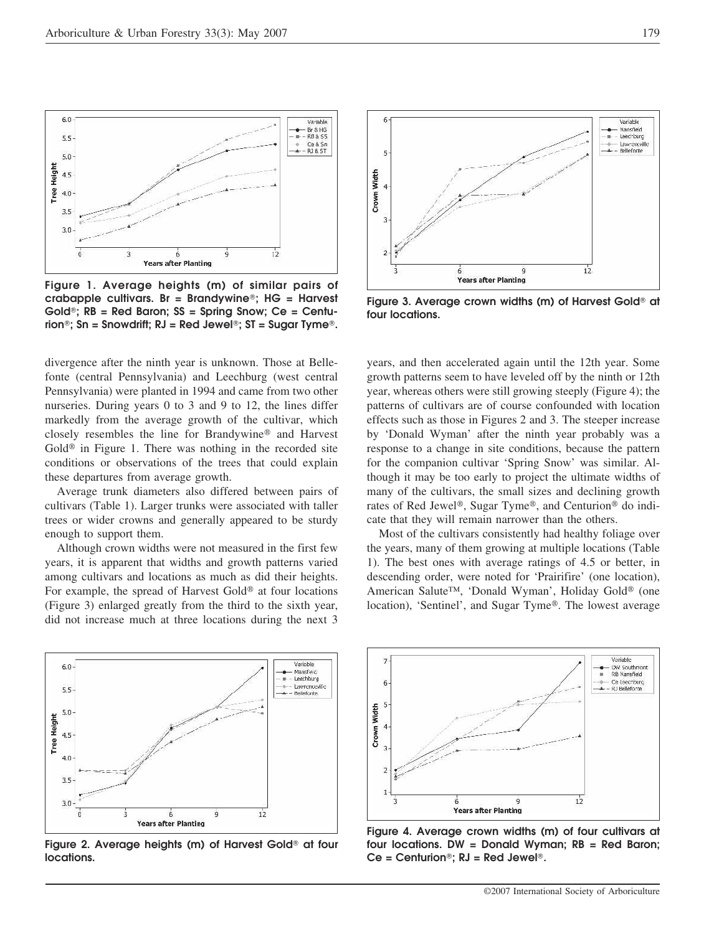

**Figure 1. Average heights (m) of similar pairs of crabapple cultivars. Br = Brandywine; HG = Harvest Gold; RB = Red Baron; SS = Spring Snow; Ce = Centurion; Sn = Snowdrift; RJ = Red Jewel; ST = Sugar Tyme.**

divergence after the ninth year is unknown. Those at Bellefonte (central Pennsylvania) and Leechburg (west central Pennsylvania) were planted in 1994 and came from two other nurseries. During years 0 to 3 and 9 to 12, the lines differ markedly from the average growth of the cultivar, which closely resembles the line for Brandywine<sup>®</sup> and Harvest Gold<sup> $\circledast$ </sup> in Figure 1. There was nothing in the recorded site conditions or observations of the trees that could explain these departures from average growth.

Average trunk diameters also differed between pairs of cultivars (Table 1). Larger trunks were associated with taller trees or wider crowns and generally appeared to be sturdy enough to support them.

Although crown widths were not measured in the first few years, it is apparent that widths and growth patterns varied among cultivars and locations as much as did their heights. For example, the spread of Harvest Gold<sup> $\circledast$ </sup> at four locations (Figure 3) enlarged greatly from the third to the sixth year, did not increase much at three locations during the next 3



Figure 2. Average heights (m) of Harvest Gold<sup>®</sup> at four **locations.**



Figure 3. Average crown widths (m) of Harvest Gold<sup>®</sup> at **four locations.**

years, and then accelerated again until the 12th year. Some growth patterns seem to have leveled off by the ninth or 12th year, whereas others were still growing steeply (Figure 4); the patterns of cultivars are of course confounded with location effects such as those in Figures 2 and 3. The steeper increase by 'Donald Wyman' after the ninth year probably was a response to a change in site conditions, because the pattern for the companion cultivar 'Spring Snow' was similar. Although it may be too early to project the ultimate widths of many of the cultivars, the small sizes and declining growth rates of Red Jewel<sup>®</sup>, Sugar Tyme®, and Centurion<sup>®</sup> do indicate that they will remain narrower than the others.

Most of the cultivars consistently had healthy foliage over the years, many of them growing at multiple locations (Table 1). The best ones with average ratings of 4.5 or better, in descending order, were noted for 'Prairifire' (one location), American Salute™, 'Donald Wyman', Holiday Gold® (one location), 'Sentinel', and Sugar Tyme®. The lowest average



**Figure 4. Average crown widths (m) of four cultivars at four locations. DW = Donald Wyman; RB = Red Baron; Ce = Centurion; RJ = Red Jewel.**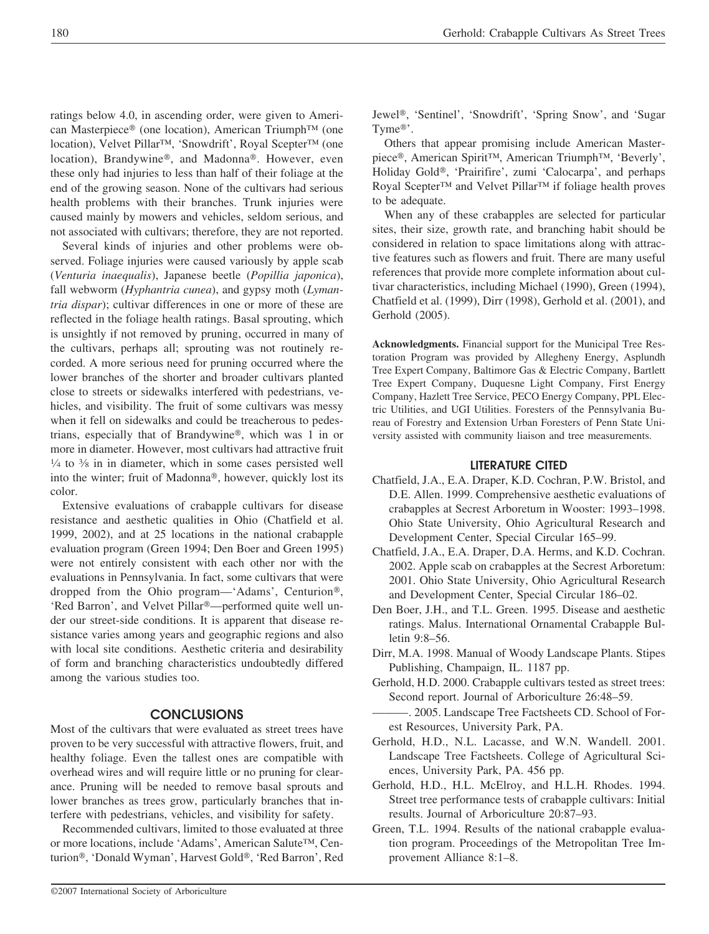ratings below 4.0, in ascending order, were given to American Masterpiece<sup>®</sup> (one location), American Triumph<sup>™</sup> (one location), Velvet Pillar™, 'Snowdrift', Royal Scepter™ (one location), Brandywine®, and Madonna®. However, even these only had injuries to less than half of their foliage at the end of the growing season. None of the cultivars had serious health problems with their branches. Trunk injuries were caused mainly by mowers and vehicles, seldom serious, and not associated with cultivars; therefore, they are not reported.

Several kinds of injuries and other problems were observed. Foliage injuries were caused variously by apple scab (*Venturia inaequalis*), Japanese beetle (*Popillia japonica*), fall webworm (*Hyphantria cunea*), and gypsy moth (*Lymantria dispar*); cultivar differences in one or more of these are reflected in the foliage health ratings. Basal sprouting, which is unsightly if not removed by pruning, occurred in many of the cultivars, perhaps all; sprouting was not routinely recorded. A more serious need for pruning occurred where the lower branches of the shorter and broader cultivars planted close to streets or sidewalks interfered with pedestrians, vehicles, and visibility. The fruit of some cultivars was messy when it fell on sidewalks and could be treacherous to pedestrians, especially that of Brandywine®, which was  $1$  in or more in diameter. However, most cultivars had attractive fruit  $\frac{1}{4}$  to  $\frac{3}{8}$  in in diameter, which in some cases persisted well into the winter; fruit of Madonna®, however, quickly lost its color.

Extensive evaluations of crabapple cultivars for disease resistance and aesthetic qualities in Ohio (Chatfield et al. 1999, 2002), and at 25 locations in the national crabapple evaluation program (Green 1994; Den Boer and Green 1995) were not entirely consistent with each other nor with the evaluations in Pennsylvania. In fact, some cultivars that were dropped from the Ohio program—'Adams', Centurion®, 'Red Barron', and Velvet Pillar<sup>®</sup>—performed quite well under our street-side conditions. It is apparent that disease resistance varies among years and geographic regions and also with local site conditions. Aesthetic criteria and desirability of form and branching characteristics undoubtedly differed among the various studies too.

### **CONCLUSIONS**

Most of the cultivars that were evaluated as street trees have proven to be very successful with attractive flowers, fruit, and healthy foliage. Even the tallest ones are compatible with overhead wires and will require little or no pruning for clearance. Pruning will be needed to remove basal sprouts and lower branches as trees grow, particularly branches that interfere with pedestrians, vehicles, and visibility for safety.

Recommended cultivars, limited to those evaluated at three or more locations, include 'Adams', American Salute™, Centurion®, 'Donald Wyman', Harvest Gold®, 'Red Barron', Red Jewel<sup>®</sup>, 'Sentinel', 'Snowdrift', 'Spring Snow', and 'Sugar Tyme $^{\circledR}$ .

Others that appear promising include American Masterpiece®, American Spirit™, American Triumph™, 'Beverly', Holiday Gold®, 'Prairifire', zumi 'Calocarpa', and perhaps Royal Scepter™ and Velvet Pillar™ if foliage health proves to be adequate.

When any of these crabapples are selected for particular sites, their size, growth rate, and branching habit should be considered in relation to space limitations along with attractive features such as flowers and fruit. There are many useful references that provide more complete information about cultivar characteristics, including Michael (1990), Green (1994), Chatfield et al. (1999), Dirr (1998), Gerhold et al. (2001), and Gerhold (2005).

**Acknowledgments.** Financial support for the Municipal Tree Restoration Program was provided by Allegheny Energy, Asplundh Tree Expert Company, Baltimore Gas & Electric Company, Bartlett Tree Expert Company, Duquesne Light Company, First Energy Company, Hazlett Tree Service, PECO Energy Company, PPL Electric Utilities, and UGI Utilities. Foresters of the Pennsylvania Bureau of Forestry and Extension Urban Foresters of Penn State University assisted with community liaison and tree measurements.

#### **LITERATURE CITED**

- Chatfield, J.A., E.A. Draper, K.D. Cochran, P.W. Bristol, and D.E. Allen. 1999. Comprehensive aesthetic evaluations of crabapples at Secrest Arboretum in Wooster: 1993–1998. Ohio State University, Ohio Agricultural Research and Development Center, Special Circular 165–99.
- Chatfield, J.A., E.A. Draper, D.A. Herms, and K.D. Cochran. 2002. Apple scab on crabapples at the Secrest Arboretum: 2001. Ohio State University, Ohio Agricultural Research and Development Center, Special Circular 186–02.
- Den Boer, J.H., and T.L. Green. 1995. Disease and aesthetic ratings. Malus. International Ornamental Crabapple Bulletin 9:8–56.
- Dirr, M.A. 1998. Manual of Woody Landscape Plants. Stipes Publishing, Champaign, IL. 1187 pp.
- Gerhold, H.D. 2000. Crabapple cultivars tested as street trees: Second report. Journal of Arboriculture 26:48–59.
- -. 2005. Landscape Tree Factsheets CD. School of Forest Resources, University Park, PA.
- Gerhold, H.D., N.L. Lacasse, and W.N. Wandell. 2001. Landscape Tree Factsheets. College of Agricultural Sciences, University Park, PA. 456 pp.
- Gerhold, H.D., H.L. McElroy, and H.L.H. Rhodes. 1994. Street tree performance tests of crabapple cultivars: Initial results. Journal of Arboriculture 20:87–93.
- Green, T.L. 1994. Results of the national crabapple evaluation program. Proceedings of the Metropolitan Tree Improvement Alliance 8:1–8.